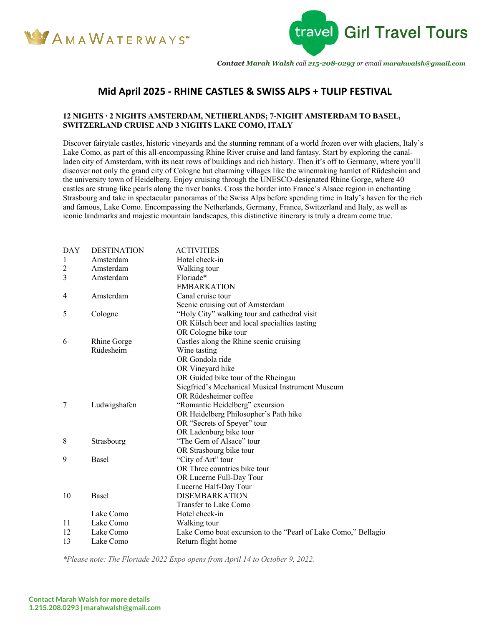



*Contact Marah Walsh call 215-208-0293 or email marahwalsh@gmail.com*

## **Mid April 2025 - RHINE CASTLES & SWISS ALPS + TULIP FESTIVAL**

### **12 NIGHTS ∙ 2 NIGHTS AMSTERDAM, NETHERLANDS; 7-NIGHT AMSTERDAM TO BASEL, SWITZERLAND CRUISE AND 3 NIGHTS LAKE COMO, ITALY**

Discover fairytale castles, historic vineyards and the stunning remnant of a world frozen over with glaciers, Italy's Lake Como, as part of this all-encompassing Rhine River cruise and land fantasy. Start by exploring the canalladen city of Amsterdam, with its neat rows of buildings and rich history. Then it's off to Germany, where you'll discover not only the grand city of Cologne but charming villages like the winemaking hamlet of Rüdesheim and the university town of Heidelberg. Enjoy cruising through the UNESCO-designated Rhine Gorge, where 40 castles are strung like pearls along the river banks. Cross the border into France's Alsace region in enchanting Strasbourg and take in spectacular panoramas of the Swiss Alps before spending time in Italy's haven for the rich and famous, Lake Como. Encompassing the Netherlands, Germany, France, Switzerland and Italy, as well as iconic landmarks and majestic mountain landscapes, this distinctive itinerary is truly a dream come true.

| <b>DAY</b>     | <b>DESTINATION</b> | <b>ACTIVITIES</b>                                              |
|----------------|--------------------|----------------------------------------------------------------|
| 1              | Amsterdam          | Hotel check-in                                                 |
| $\overline{c}$ | Amsterdam          | Walking tour                                                   |
| 3              | Amsterdam          | Floriade*                                                      |
|                |                    | <b>EMBARKATION</b>                                             |
| 4              | Amsterdam          | Canal cruise tour                                              |
|                |                    | Scenic cruising out of Amsterdam                               |
| 5              | Cologne            | "Holy City" walking tour and cathedral visit                   |
|                |                    | OR Kölsch beer and local specialties tasting                   |
|                |                    | OR Cologne bike tour                                           |
| 6              | <b>Rhine Gorge</b> | Castles along the Rhine scenic cruising                        |
|                | Rüdesheim          | Wine tasting                                                   |
|                |                    | OR Gondola ride                                                |
|                |                    | OR Vineyard hike                                               |
|                |                    | OR Guided bike tour of the Rheingau                            |
|                |                    | Siegfried's Mechanical Musical Instrument Museum               |
|                |                    | OR Rüdesheimer coffee                                          |
| 7              | Ludwigshafen       | "Romantic Heidelberg" excursion                                |
|                |                    | OR Heidelberg Philosopher's Path hike                          |
|                |                    | OR "Secrets of Speyer" tour                                    |
|                |                    | OR Ladenburg bike tour                                         |
| 8              | Strasbourg         | "The Gem of Alsace" tour                                       |
|                |                    | OR Strasbourg bike tour                                        |
| 9              | <b>Basel</b>       | "City of Art" tour                                             |
|                |                    | OR Three countries bike tour                                   |
|                |                    | OR Lucerne Full-Day Tour                                       |
|                |                    | Lucerne Half-Day Tour                                          |
| 10             | Basel              | <b>DISEMBARKATION</b>                                          |
|                |                    | <b>Transfer to Lake Como</b>                                   |
|                | Lake Como          | Hotel check-in                                                 |
| 11             | Lake Como          | Walking tour                                                   |
| 12             | Lake Como          | Lake Como boat excursion to the "Pearl of Lake Como," Bellagio |
| 13             | Lake Como          | Return flight home                                             |
|                |                    |                                                                |

*\*Please note: The Floriade 2022 Expo opens from April 14 to October 9, 2022.*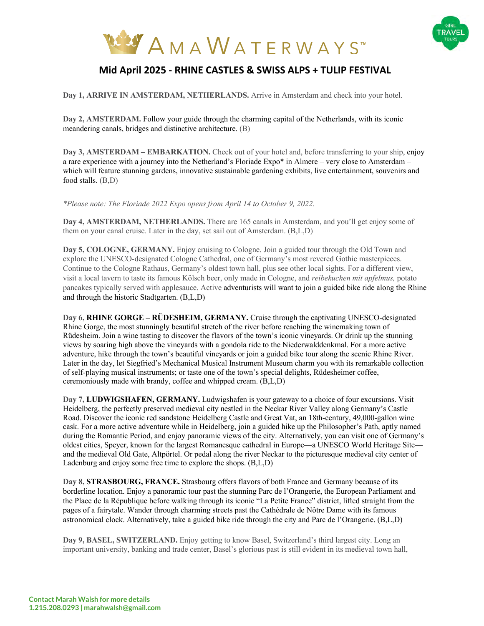



# **Mid April 2025 - RHINE CASTLES & SWISS ALPS + TULIP FESTIVAL**

**Day 1, ARRIVE IN AMSTERDAM, NETHERLANDS.** Arrive in Amsterdam and check into your hotel.

**Day 2, AMSTERDAM.** Follow your guide through the charming capital of the Netherlands, with its iconic meandering canals, bridges and distinctive architecture. (B)

**Day 3, AMSTERDAM – EMBARKATION.** Check out of your hotel and, before transferring to your ship, enjoy a rare experience with a journey into the Netherland's Floriade Expo\* in Almere – very close to Amsterdam – which will feature stunning gardens, innovative sustainable gardening exhibits, live entertainment, souvenirs and food stalls. (B,D)

*\*Please note: The Floriade 2022 Expo opens from April 14 to October 9, 2022.*

**Day 4, AMSTERDAM, NETHERLANDS.** There are 165 canals in Amsterdam, and you'll get enjoy some of them on your canal cruise. Later in the day, set sail out of Amsterdam. (B,L,D)

**Day 5, COLOGNE, GERMANY.** Enjoy cruising to Cologne. Join a guided tour through the Old Town and explore the UNESCO-designated Cologne Cathedral, one of Germany's most revered Gothic masterpieces. Continue to the Cologne Rathaus, Germany's oldest town hall, plus see other local sights. For a different view, visit a local tavern to taste its famous Kölsch beer, only made in Cologne, and *reibekuchen mit apfelmus,* potato pancakes typically served with applesauce. Active adventurists will want to join a guided bike ride along the Rhine and through the historic Stadtgarten. (B,L,D)

**Day 6, RHINE GORGE – RÜDESHEIM, GERMANY.** Cruise through the captivating UNESCO-designated Rhine Gorge, the most stunningly beautiful stretch of the river before reaching the winemaking town of Rüdesheim. Join a wine tasting to discover the flavors of the town's iconic vineyards. Or drink up the stunning views by soaring high above the vineyards with a gondola ride to the Niederwalddenkmal. For a more active adventure, hike through the town's beautiful vineyards or join a guided bike tour along the scenic Rhine River. Later in the day, let Siegfried's Mechanical Musical Instrument Museum charm you with its remarkable collection of self-playing musical instruments; or taste one of the town's special delights, Rüdesheimer coffee, ceremoniously made with brandy, coffee and whipped cream. (B,L,D)

**Day 7, LUDWIGSHAFEN, GERMANY.** Ludwigshafen is your gateway to a choice of four excursions. Visit Heidelberg, the perfectly preserved medieval city nestled in the Neckar River Valley along Germany's Castle Road. Discover the iconic red sandstone Heidelberg Castle and Great Vat, an 18th-century, 49,000-gallon wine cask. For a more active adventure while in Heidelberg, join a guided hike up the Philosopher's Path, aptly named during the Romantic Period, and enjoy panoramic views of the city. Alternatively, you can visit one of Germany's oldest cities, Speyer, known for the largest Romanesque cathedral in Europe—a UNESCO World Heritage Site and the medieval Old Gate, Altpörtel. Or pedal along the river Neckar to the picturesque medieval city center of Ladenburg and enjoy some free time to explore the shops. (B,L,D)

**Day 8, STRASBOURG, FRANCE.** Strasbourg offers flavors of both France and Germany because of its borderline location. Enjoy a panoramic tour past the stunning Parc de l'Orangerie, the European Parliament and the Place de la République before walking through its iconic "La Petite France" district, lifted straight from the pages of a fairytale. Wander through charming streets past the Cathédrale de Nôtre Dame with its famous astronomical clock. Alternatively, take a guided bike ride through the city and Parc de l'Orangerie. (B,L,D)

**Day 9, BASEL, SWITZERLAND.** Enjoy getting to know Basel, Switzerland's third largest city. Long an important university, banking and trade center, Basel's glorious past is still evident in its medieval town hall,